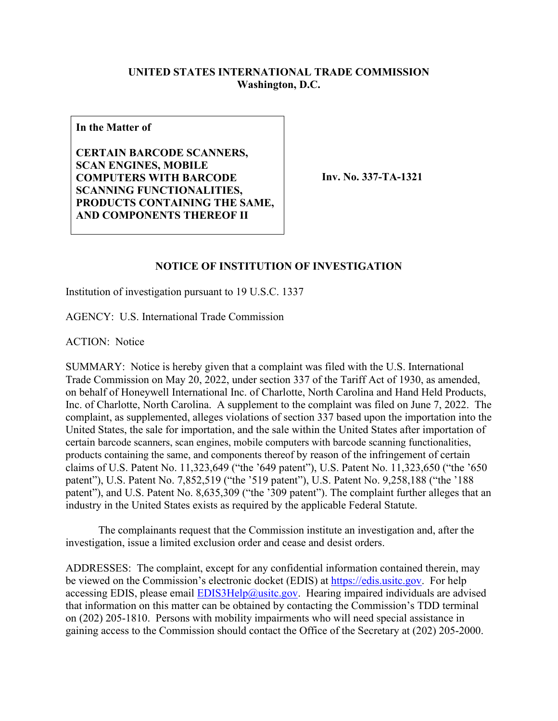## **UNITED STATES INTERNATIONAL TRADE COMMISSION Washington, D.C.**

**In the Matter of**

**CERTAIN BARCODE SCANNERS, SCAN ENGINES, MOBILE COMPUTERS WITH BARCODE SCANNING FUNCTIONALITIES, PRODUCTS CONTAINING THE SAME, AND COMPONENTS THEREOF II** 

**Inv. No. 337-TA-1321**

## **NOTICE OF INSTITUTION OF INVESTIGATION**

Institution of investigation pursuant to 19 U.S.C. 1337

AGENCY: U.S. International Trade Commission

ACTION: Notice

SUMMARY: Notice is hereby given that a complaint was filed with the U.S. International Trade Commission on May 20, 2022, under section 337 of the Tariff Act of 1930, as amended, on behalf of Honeywell International Inc. of Charlotte, North Carolina and Hand Held Products, Inc. of Charlotte, North Carolina. A supplement to the complaint was filed on June 7, 2022. The complaint, as supplemented, alleges violations of section 337 based upon the importation into the United States, the sale for importation, and the sale within the United States after importation of certain barcode scanners, scan engines, mobile computers with barcode scanning functionalities, products containing the same, and components thereof by reason of the infringement of certain claims of U.S. Patent No. 11,323,649 ("the '649 patent"), U.S. Patent No. 11,323,650 ("the '650 patent"), U.S. Patent No. 7,852,519 ("the '519 patent"), U.S. Patent No. 9,258,188 ("the '188 patent"), and U.S. Patent No. 8,635,309 ("the '309 patent"). The complaint further alleges that an industry in the United States exists as required by the applicable Federal Statute.

The complainants request that the Commission institute an investigation and, after the investigation, issue a limited exclusion order and cease and desist orders.

ADDRESSES: The complaint, except for any confidential information contained therein, may be viewed on the Commission's electronic docket (EDIS) at [https://edis.usitc.gov.](https://edis.usitc.gov/) For help accessing EDIS, please email  $EDIS3Help@usite.gov$ . Hearing impaired individuals are advised that information on this matter can be obtained by contacting the Commission's TDD terminal on (202) 205-1810. Persons with mobility impairments who will need special assistance in gaining access to the Commission should contact the Office of the Secretary at (202) 205-2000.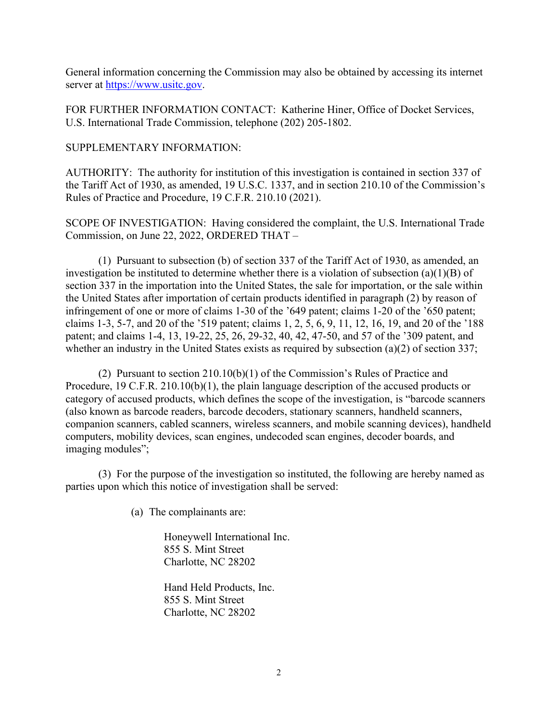General information concerning the Commission may also be obtained by accessing its internet server at [https://www.usitc.gov.](https://www.usitc.gov/)

FOR FURTHER INFORMATION CONTACT: Katherine Hiner, Office of Docket Services, U.S. International Trade Commission, telephone (202) 205-1802.

SUPPLEMENTARY INFORMATION:

AUTHORITY: The authority for institution of this investigation is contained in section 337 of the Tariff Act of 1930, as amended, 19 U.S.C. 1337, and in section 210.10 of the Commission's Rules of Practice and Procedure, 19 C.F.R. 210.10 (2021).

SCOPE OF INVESTIGATION: Having considered the complaint, the U.S. International Trade Commission, on June 22, 2022, ORDERED THAT –

(1) Pursuant to subsection (b) of section 337 of the Tariff Act of 1930, as amended, an investigation be instituted to determine whether there is a violation of subsection (a)(1)(B) of section 337 in the importation into the United States, the sale for importation, or the sale within the United States after importation of certain products identified in paragraph (2) by reason of infringement of one or more of claims 1-30 of the '649 patent; claims 1-20 of the '650 patent; claims 1-3, 5-7, and 20 of the '519 patent; claims 1, 2, 5, 6, 9, 11, 12, 16, 19, and 20 of the '188 patent; and claims 1-4, 13, 19-22, 25, 26, 29-32, 40, 42, 47-50, and 57 of the '309 patent, and whether an industry in the United States exists as required by subsection (a)(2) of section 337;

(2) Pursuant to section 210.10(b)(1) of the Commission's Rules of Practice and Procedure, 19 C.F.R. 210.10(b)(1), the plain language description of the accused products or category of accused products, which defines the scope of the investigation, is "barcode scanners (also known as barcode readers, barcode decoders, stationary scanners, handheld scanners, companion scanners, cabled scanners, wireless scanners, and mobile scanning devices), handheld computers, mobility devices, scan engines, undecoded scan engines, decoder boards, and imaging modules";

(3) For the purpose of the investigation so instituted, the following are hereby named as parties upon which this notice of investigation shall be served:

(a) The complainants are:

Honeywell International Inc. 855 S. Mint Street Charlotte, NC 28202

Hand Held Products, Inc. 855 S. Mint Street Charlotte, NC 28202